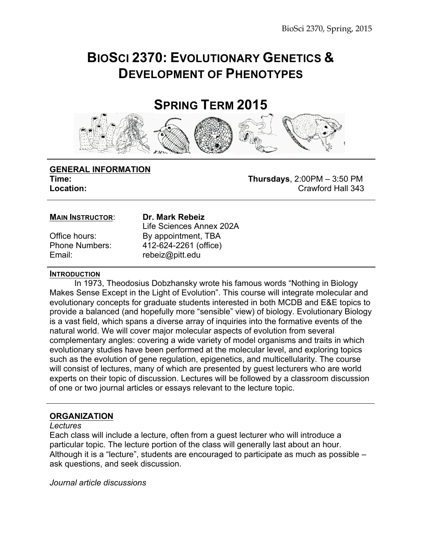## **BIOSCI 2370: EVOLUTIONARY GENETICS & DEVELOPMENT OF PHENOTYPES**

### **SPRING TERM 2015**



# **GENERAL INFORMATION**

**Time: Thursdays**, 2:00PM – 3:50 PM **Location: Crawford Hall 343** 

#### **MAIN INSTRUCTOR**: **Dr. Mark Rebeiz**

Email: rebeiz@pitt.edu

Life Sciences Annex 202A Office hours: By appointment, TBA Phone Numbers: 412-624-2261 (office)

#### **INTRODUCTION**

In 1973, Theodosius Dobzhansky wrote his famous words "Nothing in Biology Makes Sense Except in the Light of Evolution". This course will integrate molecular and evolutionary concepts for graduate students interested in both MCDB and E&E topics to provide a balanced (and hopefully more "sensible" view) of biology. Evolutionary Biology is a vast field, which spans a diverse array of inquiries into the formative events of the natural world. We will cover major molecular aspects of evolution from several complementary angles: covering a wide variety of model organisms and traits in which evolutionary studies have been performed at the molecular level, and exploring topics such as the evolution of gene regulation, epigenetics, and multicellularity. The course will consist of lectures, many of which are presented by guest lecturers who are world experts on their topic of discussion. Lectures will be followed by a classroom discussion of one or two journal articles or essays relevant to the lecture topic.

#### **ORGANIZATION**

#### *Lectures*

Each class will include a lecture, often from a guest lecturer who will introduce a particular topic. The lecture portion of the class will generally last about an hour. Although it is a "lecture", students are encouraged to participate as much as possible – ask questions, and seek discussion.

*Journal article discussions*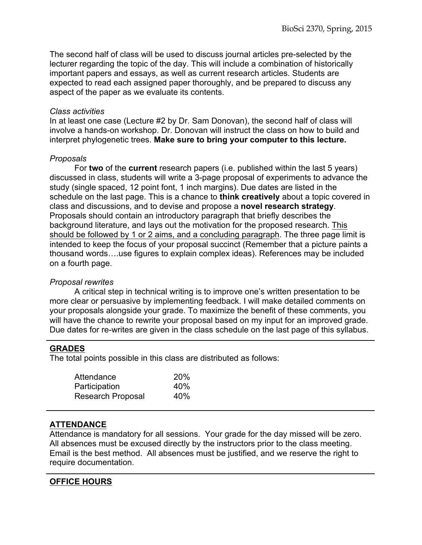The second half of class will be used to discuss journal articles pre-selected by the lecturer regarding the topic of the day. This will include a combination of historically important papers and essays, as well as current research articles. Students are expected to read each assigned paper thoroughly, and be prepared to discuss any aspect of the paper as we evaluate its contents.

#### *Class activities*

In at least one case (Lecture #2 by Dr. Sam Donovan), the second half of class will involve a hands-on workshop. Dr. Donovan will instruct the class on how to build and interpret phylogenetic trees. **Make sure to bring your computer to this lecture.**

#### *Proposals*

For **two** of the **current** research papers (i.e. published within the last 5 years) discussed in class, students will write a 3-page proposal of experiments to advance the study (single spaced, 12 point font, 1 inch margins). Due dates are listed in the schedule on the last page. This is a chance to **think creatively** about a topic covered in class and discussions, and to devise and propose a **novel research strategy**. Proposals should contain an introductory paragraph that briefly describes the background literature, and lays out the motivation for the proposed research. This should be followed by 1 or 2 aims, and a concluding paragraph. The three page limit is intended to keep the focus of your proposal succinct (Remember that a picture paints a thousand words….use figures to explain complex ideas). References may be included on a fourth page.

#### *Proposal rewrites*

A critical step in technical writing is to improve one's written presentation to be more clear or persuasive by implementing feedback. I will make detailed comments on your proposals alongside your grade. To maximize the benefit of these comments, you will have the chance to rewrite your proposal based on my input for an improved grade. Due dates for re-writes are given in the class schedule on the last page of this syllabus.

#### **GRADES**

The total points possible in this class are distributed as follows:

| Attendance        | <b>20%</b> |
|-------------------|------------|
| Participation     | 40%        |
| Research Proposal | 40%        |

#### **ATTENDANCE**

Attendance is mandatory for all sessions. Your grade for the day missed will be zero. All absences must be excused directly by the instructors prior to the class meeting. Email is the best method. All absences must be justified, and we reserve the right to require documentation.

#### **OFFICE HOURS**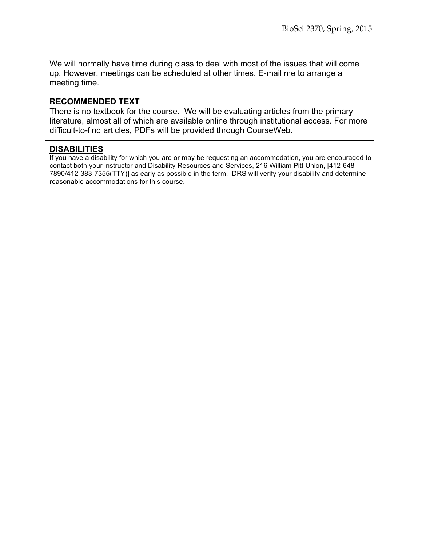We will normally have time during class to deal with most of the issues that will come up. However, meetings can be scheduled at other times. E-mail me to arrange a meeting time.

#### **RECOMMENDED TEXT**

There is no textbook for the course. We will be evaluating articles from the primary literature, almost all of which are available online through institutional access. For more difficult-to-find articles, PDFs will be provided through CourseWeb.

#### **DISABILITIES**

If you have a disability for which you are or may be requesting an accommodation, you are encouraged to contact both your instructor and Disability Resources and Services, 216 William Pitt Union, [412-648- 7890/412-383-7355(TTY)] as early as possible in the term. DRS will verify your disability and determine reasonable accommodations for this course.